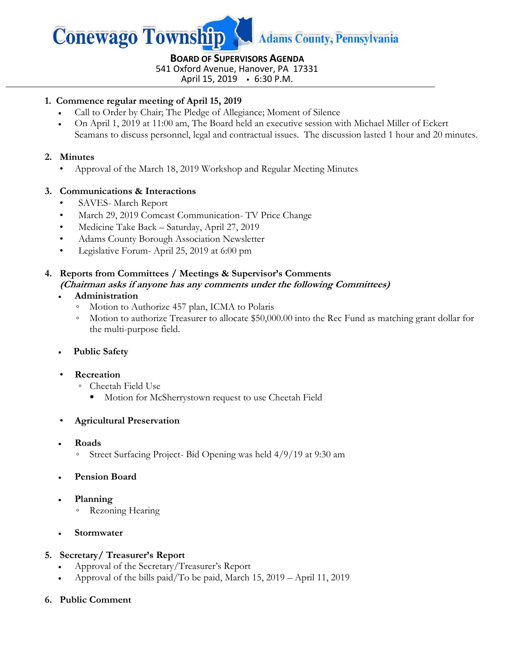

**BOARD OF SUPERVISORS AGENDA** 541 Oxford Avenue, Hanover, PA 17331

April 15, 2019 6:30 P.M.

## **1. Commence regular meeting of April 15, 2019**

- Call to Order by Chair; The Pledge of Allegiance; Moment of Silence
- On April 1, 2019 at 11:00 am, The Board held an executive session with Michael Miller of Eckert Seamans to discuss personnel, legal and contractual issues. The discussion lasted 1 hour and 20 minutes.

## **2. Minutes**

• Approval of the March 18, 2019 Workshop and Regular Meeting Minutes

## **3. Communications & Interactions**

- SAVES- March Report
- March 29, 2019 Comcast Communication- TV Price Change
- Medicine Take Back Saturday, April 27, 2019
- Adams County Borough Association Newsletter
- Legislative Forum- April 25, 2019 at 6:00 pm

## **4. Reports from Committees / Meetings & Supervisor's Comments (Chairman asks if anyone has any comments under the following Committees)**

## **Administration**

- Motion to Authorize 457 plan, ICMA to Polaris
- Motion to authorize Treasurer to allocate \$50,000.00 into the Rec Fund as matching grant dollar for the multi-purpose field.
- **Public Safety**
- **Recreation**
	- Cheetah Field Use
		- **Motion for McSherrystown request to use Cheetah Field**
- **Agricultural Preservation**
- **Roads** 
	- Street Surfacing Project- Bid Opening was held 4/9/19 at 9:30 am
- **Pension Board**
- **Planning**
	- Rezoning Hearing
- **Stormwater**

# **5. Secretary/ Treasurer's Report**

- Approval of the Secretary/Treasurer's Report
- Approval of the bills paid/To be paid, March 15, 2019 April 11, 2019

# **6. Public Comment**